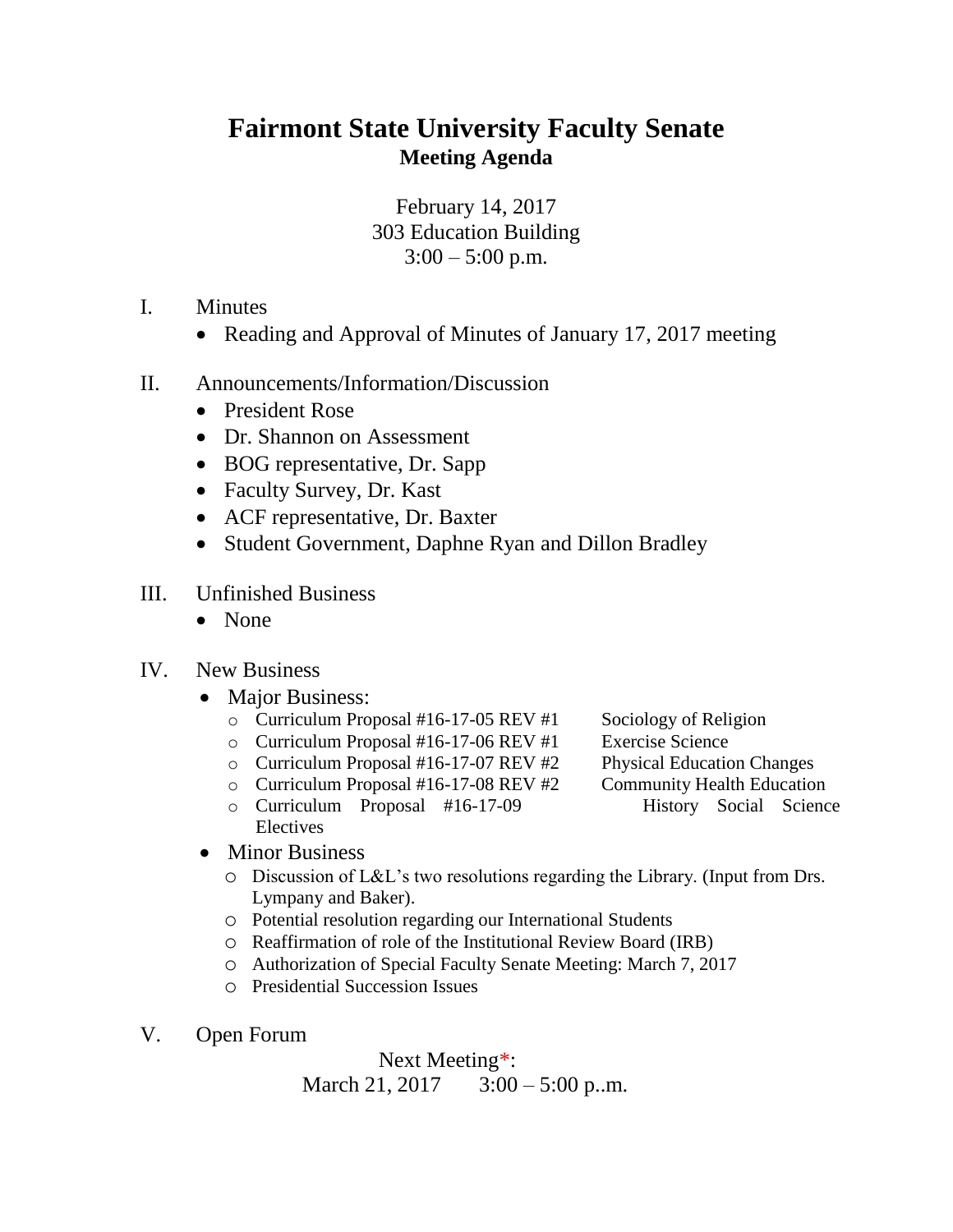## **Fairmont State University Faculty Senate Meeting Agenda**

February 14, 2017 303 Education Building  $3:00 - 5:00$  p.m.

- I. Minutes
	- Reading and Approval of Minutes of January 17, 2017 meeting
- II. Announcements/Information/Discussion
	- President Rose
	- Dr. Shannon on Assessment
	- BOG representative, Dr. Sapp
	- Faculty Survey, Dr. Kast
	- ACF representative, Dr. Baxter
	- Student Government, Daphne Ryan and Dillon Bradley
- III. Unfinished Business
	- None

## IV. New Business

- Major Business:
	- $\circ$  Curriculum Proposal #16-17-05 REV #1 Sociology of Religion
	- o Curriculum Proposal #16-17-06 REV #1 Exercise Science
	- o Curriculum Proposal #16-17-07 REV #2 Physical Education Changes
	- o Curriculum Proposal #16-17-08 REV #2 Community Health Education
	- o Curriculum Proposal #16-17-09 History Social Science Electives
- 
- 
- -

- Minor Business
	- o Discussion of L&L's two resolutions regarding the Library. (Input from Drs. Lympany and Baker).
	- o Potential resolution regarding our International Students
	- o Reaffirmation of role of the Institutional Review Board (IRB)
	- o Authorization of Special Faculty Senate Meeting: March 7, 2017
	- o Presidential Succession Issues
- V. Open Forum

 Next Meeting\*: March 21, 2017 3:00 – 5:00 p.m.

- 
- 
- 
- -